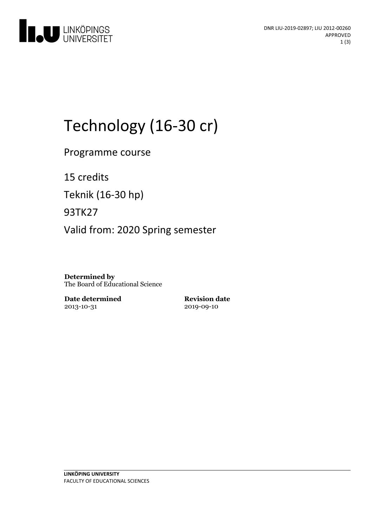

# Technology (16-30 cr)

Programme course

15 credits

Teknik (16-30 hp)

93TK27

Valid from: 2020 Spring semester

**Determined by** The Board of Educational Science

**Date determined** 2013-10-31

**Revision date** 2019-09-10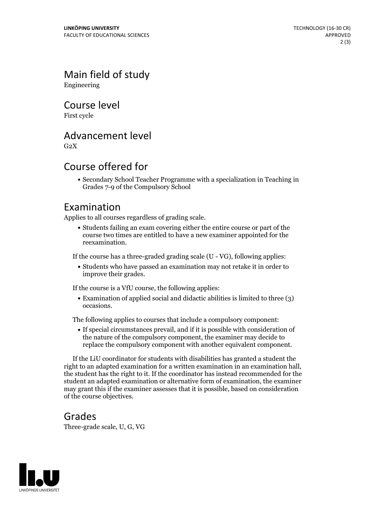Main field of study Engineering

Course level

First cycle

## Advancement level

 $G<sub>2</sub>X$ 

## Course offered for

Secondary School Teacher Programme with a specialization in Teaching in Grades 7-9 of the Compulsory School

#### Examination

Applies to all courses regardless of grading scale.

Students failing an exam covering either the entire course or part of the course two times are entitled to have a new examiner appointed for the reexamination.

If the course has a three-graded grading scale (U - VG), following applies:

Students who have passed an examination may not retake it in order to improve their grades.

If the course is a VfU course, the following applies:

Examination of applied social and didactic abilities is limited to three (3) occasions.

The following applies to courses that include a compulsory component:

If special circumstances prevail, and if it is possible with consideration of the nature of the compulsory component, the examiner may decide to replace the compulsory component with another equivalent component.

If the LiU coordinator for students with disabilities has granted a student the right to an adapted examination for <sup>a</sup> written examination in an examination hall, the student has the right to it. If the coordinator has instead recommended for the student an adapted examination or alternative form of examination, the examiner may grant this if the examiner assesses that it is possible, based on consideration of the course objectives.

#### Grades

Three-grade scale, U, G, VG